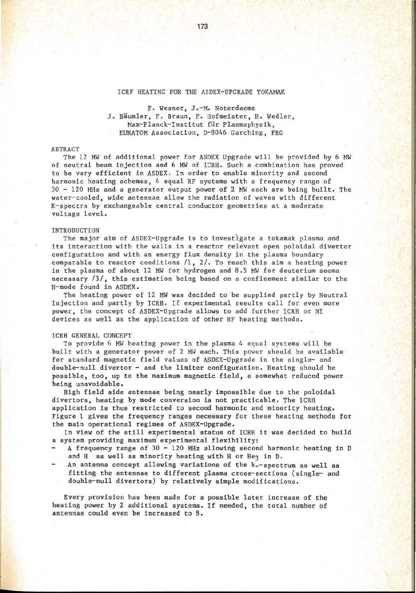## ICRF HEATING FOR THE ASDEX-UPGRADE TOKAMAK

# F. Wesner, J.-M. Noterdaeme J. Bäumler, F. Braun, F. Hofmeister, H. Wedler, Max-Planck-Institut für Plasmaphysik, EURATOM Association, D-8046 Garching, FRG

### **ABTRACT**

The 12 MW of additional power for ASDEX Upgrade will be provided by 6 MW of neutral beam injection and 6 MW of ICRH. Such a combination has proved to be very efficient in ASDEX. In order to enable minority and second harmonic heating schemes, 4 equal RF systems with a frequency range of  $30 - 120$  MHz and a generator output power of 2 MW each are being built. The water-cooled, wide antennae allow the radiation of waves with different K-spectra by exchangeable central conductor geometries at a moderate voltage level.

## INTRODUCTION

The major aim of ASDEX- Upgrade is to investigate a tokamak plasma and its interaction with the walls in a reactor relevant open poloidal divertor configuration and with an energy flux density in the plasma boundary comparable to reactor conditions  $/1$ ,  $2/$ . To reach this aim a heating power in the plasma of about 12 MW for hydrogen and 8.5 MW for deuterium seems necessary  $/3/$ , this estimation being based on a confinement similar to the H-mode found in ASDEX.

The heating power of 12 MW was decided to be supplied partly by Neutral Injection and partly by ICRH. If experimental results call for even more power, the concept of ASDEX-Upgrade allows to add further ICRH or NI devices as well as the application of other RF heating methods.

#### ICRH GENERAL CONCEPT

To provide 6 MW heating power in the plasma 4 equal systems will be built with a generator power of 2 MW each. This power should be available for standard magnetic field values of ASDEX-Upgrade in the single- and double-null divertor - and the limiter configuration. Heating should be possible, too, up to the maximum magnetic field, a somewhat reduced power being unavoidable.

High field side antennae being nearly impossible due to the poloidal divertors, heating by mode conversion is not practicable. The ICRH application is thus restricted to second harmonic and minority heating. Figure 1 gives the frequency ranges necessary for these heating methods for the main operational regimes of ASDEX- Upgrade.

In view of the still experimental status of ICRH it was decided to build a system providing maximum experimental flexibility:

- A frequency range of  $30 120$  MHz allowing second harmonic heating in D and H as well as minority heating with H or He3 in D.
- An antenna concept allowing variations of the k .- spectrum as well as fitting the antennae to different plasma cross-sections (single- and double-null divertors) by relatively simple modifications.

Every provision has been made for a possible later increase of the heating power by 2 additional systems. If needed, the total number of antennae could even be increased to 8.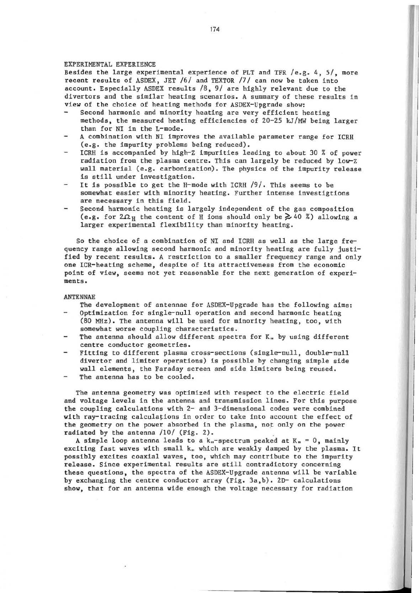## EXPERIMENTAL EXPERIENCE

Besides the large experimental experience of PLT and TFR /e.g. 4 , *5/ ,* more recent results of ASDEX , JET /6/ and rEXTOR /7/ can now be taken into account. Especially ASDEX results  $/8$ ,  $9/$  are highly relevant due to the divertors and the similar heating scenarios. A summary of these results in view of the choice of heating methods for ASDEX-Upgrade show:

- Second harmonic and minority heating are very efficient heating methods, the measured heating efficiencies of 20-25 kJ/MW being larger than for NI in the L-mode.
- A combination with NI improves the available parameter range for ICRH (e.g. the impurity problems being reduced).
- ICRH is accompanied by high-Z impurities leading to about 30 % of power radiation from the plasma centre. This can largely be reduced by low-Z wall material (e.g. carbonization). The physics of the impurity release is still under investigation.
- It is possible to get the H-mode with ICRH /9/. This seems to be somewhat easier with minority heating. Further intense investigtions are necessary in this field.
- Second harmonic heating is largely independent of the gas composition (e.g. for  $2\Omega_H$  the content of H ions should only be  $\geq 40$  %) allowing a larger experimental flexibility than minority heating.

So the choice of a combination of NI and ICRH as well as the large frequency range allowing second harmonic and minority heating are fully justified by recent results. A restriction to a smaller frequency range and only one ICR-heating scheme, despite of its attractiveness from the economic point of view, seems not yet reasonable for the next generation of experi**ments.** 

### ANTENNAE

The development of antennae for ASDEX-Upgrade has the following aims:

- Optimization for single-null operation and second harmonic heating (80 MHz). The antenna will be used for minority heating, too, with somewhat worse coupling characteristics.
- The antenna should allow different spectra for  $K_n$  by using different centre conductor geometries.
- Fitting to different plasma cross- sections (single-null, double-null divertor and limiter operations) is possible by changing simple side wall elements, the Faraday screen and side limiters being reused.
- The antenna has to be cooled.

The antenna geometry was optimized with respect to the electric field and voltage levels in the antenna and transmission lines. For this purpose the coupling calculations with 2- and 3- dimensional codes were combined with ray-tracing calculations in order to take into account the effect of the geometry on the power absorbed in the plasma, not only on the power radiated by the antenna  $/10/$  (Fig. 2).

A simple loop antenna leads to a  $k_n$ -spectrum peaked at  $K_n = 0$ , mainly exciting fast waves with small k. which are weakly damped by the plasma. It possibly excites coaxial waves, too, which may contribute to the impurity release. Since experimental results are still contradictory concerning these questions, the spectra of the ASDEX-Upgrade antenna will be variable by exchanging the centre conductor array (Fig. 3a ,b) . 2D- calculations show, that for an antenna wide enough the voltage necessary for radiation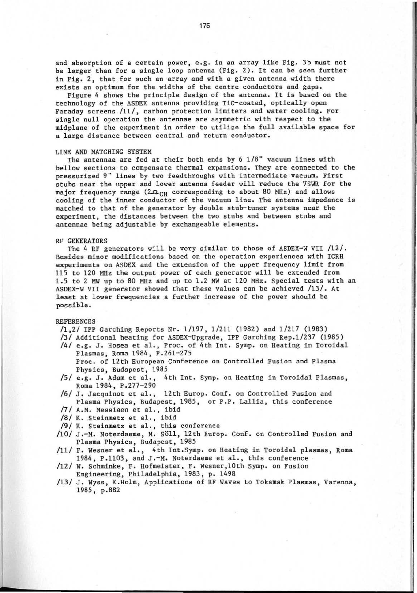and absorption of a certain power, e.g. in an array like Fig. 3b must not be larger than for a single loop antenna (Fig. 2). It can be seen further in Fig. 2, that for such an array and with a given antenna width there exists an optimum for the widths of the centre conductors and gaps.

Figure 4 shows the principle design of the antenna. It is based on the technology of the ASDEX antenna providing TiC-coated, optically open Faraday screens /11/, carbon protection limiters and water cooling. For single null operation the antennae are asymmetric with respect to the midplane of the experiment in order to utilize the full available space for a large distance between central and return conductor.

## LINE AND MATCHING SYSTEM

The antennae are fed at their both ends by  $6\ 1/8$ " vacuum lines with bellow sections to compensate thermal expansions. They are connected to the pressurized 9" lines by two feedthroughs with intermediate vacuum. First stubs near the upper and lower antenna feeder will reduce the VSWR for the major frequency range ( $2\Omega_{CH}$  corresponding to about 80 MHz) and allows cooling of the inner conductor of the vacuum line. The antenna impedance is matched to that of the generator by double stub-tuner systems near the experiment, the distances between the two stubs and between stubs and antennae being adjustable by exchangeable elements.

#### RF GENERATORS

The 4 RF generators will be very similar to those of ASDEX-W VII  $/12/$ . Besides minor modifications based on the operation experiences with ICRH experiments on ASDEX and the extension of the upper frequency limit from 115 to 120 MHz the output power of each generator will be extended from 1.5 to 2 MW up to 80 MHz and up to 1.2 MW at 120 MHz. Special tests with an ASDEX-W VII generator showed that these values can be achieved /13/. At least at lower frequencies a further increase of the power should be possible.

## REFERENCES

- /1,2/ IPP Garching Reports Nr. 1/ 197, 1/211 (1982) and 1/217 (1983)
- /3/ Additional heating for ASDEX-Upgrade, IPP Garching Rep.1/237 (1985)
- /4/ e.g. J. Hosea et al., Proc. of 4th Int. Symp. on Heating in Toroidal Plasmas, Roma 1984, P.261-275 Proc. of 12th European Conference on Controlled Fusion and Plasma Physics, Budapest, 1985
- /5/ e.g. J. Adam et al., 4th Int. Symp. on Heating in Toroidal Plasmas, Roma 1984, P.277-290
- /6/ J. Jacquinot et al., 12th Europ. Conf. on Controlled Fusion and Plasma Physics, Budapest, 1985, or P.P. Lallia, this conference
- /7/ A.M. Messiaen et al., ibid
- /8/ K. Steinmetz et al., ibid
- /9/ K. Steinmetz et al., this conference
- / 10/ J.-M. Noterdaeme, M. Soll, 12th Eur op. Conf. on Controlled Fusion and Plasma Physics, Budapest, 1985
- /11/ F. Wesner et al., 4th Int. Symp. on Heating in Toroidal plasmas, Roma 1984, P.1103, and J.-M. Noterdaeme et al., this conference
- /12/ w. Schminke, F. Hofmeister, F. Wesner,10th Symp. on Fusion Engineering, Philadelphia, 1983, p. 1498
- /13/ J. Wyss, K.Holm, Applications of RF Waves to Tokamak Plasmas, Varenna, 1985, p.882